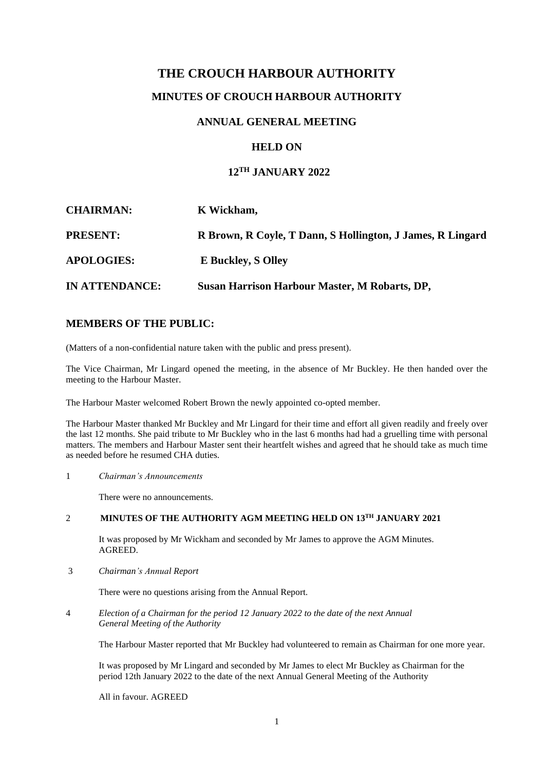# **THE CROUCH HARBOUR AUTHORITY**

# **MINUTES OF CROUCH HARBOUR AUTHORITY**

### **ANNUAL GENERAL MEETING**

### **HELD ON**

#### **12 TH JANUARY 2022**

| <b>CHAIRMAN:</b>      | K Wickham,                                                 |
|-----------------------|------------------------------------------------------------|
| <b>PRESENT:</b>       | R Brown, R Coyle, T Dann, S Hollington, J James, R Lingard |
| <b>APOLOGIES:</b>     | <b>E</b> Buckley, S Olley                                  |
| <b>IN ATTENDANCE:</b> | <b>Susan Harrison Harbour Master, M Robarts, DP,</b>       |

## **MEMBERS OF THE PUBLIC:**

(Matters of a non-confidential nature taken with the public and press present).

The Vice Chairman, Mr Lingard opened the meeting, in the absence of Mr Buckley. He then handed over the meeting to the Harbour Master.

The Harbour Master welcomed Robert Brown the newly appointed co-opted member.

The Harbour Master thanked Mr Buckley and Mr Lingard for their time and effort all given readily and freely over the last 12 months. She paid tribute to Mr Buckley who in the last 6 months had had a gruelling time with personal matters. The members and Harbour Master sent their heartfelt wishes and agreed that he should take as much time as needed before he resumed CHA duties.

1 *Chairman's Announcements*

There were no announcements.

#### 2 **MINUTES OF THE AUTHORITY AGM MEETING HELD ON 13TH JANUARY 2021**

It was proposed by Mr Wickham and seconded by Mr James to approve the AGM Minutes. AGREED.

3 *Chairman's Annual Report*

There were no questions arising from the Annual Report.

4 *Election of a Chairman for the period 12 January 2022 to the date of the next Annual General Meeting of the Authority*

The Harbour Master reported that Mr Buckley had volunteered to remain as Chairman for one more year.

It was proposed by Mr Lingard and seconded by Mr James to elect Mr Buckley as Chairman for the period 12th January 2022 to the date of the next Annual General Meeting of the Authority

All in favour. AGREED